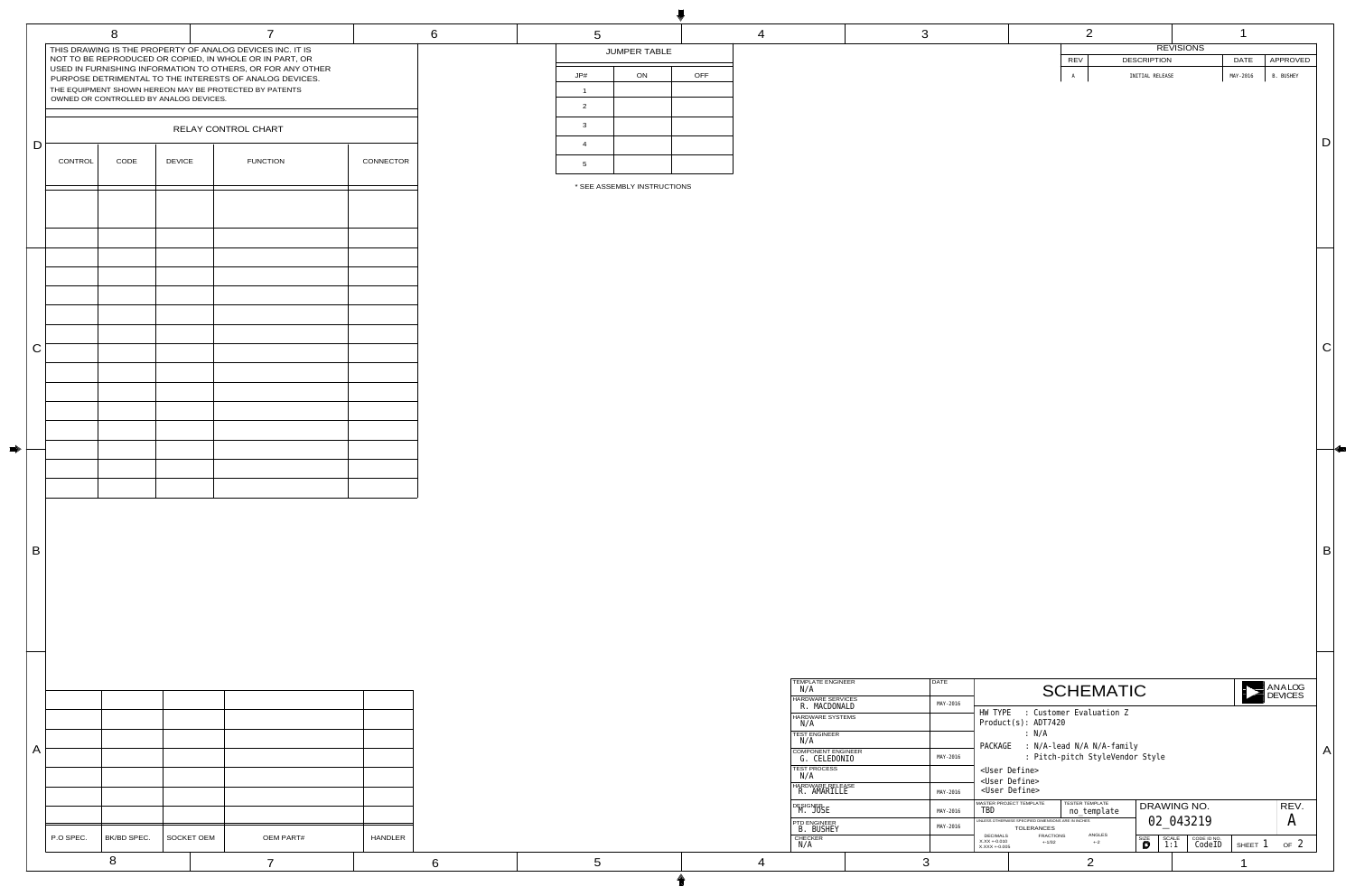|  |                                  | $\overline{2}$  |                  | ℯ        |           |  |
|--|----------------------------------|-----------------|------------------|----------|-----------|--|
|  |                                  |                 | <b>REVISIONS</b> |          |           |  |
|  | <b>REV</b><br><b>DESCRIPTION</b> |                 | <b>DATE</b>      |          | APPROVED  |  |
|  | $\, {\tt A}$                     | INITIAL RELEASE |                  | MAY-2016 | B. BUSHEY |  |
|  |                                  |                 |                  |          |           |  |
|  |                                  |                 |                  |          |           |  |
|  |                                  |                 |                  |          |           |  |
|  |                                  |                 |                  |          |           |  |
|  |                                  |                 |                  |          |           |  |
|  |                                  |                 |                  |          |           |  |

| <b>TEMPLATE ENGINEER</b><br>N/A           | <b>DATE</b> |                                                              |                                                                          | <b>SCHEMATIC</b>                      |           |                     |                       |               | ANALOG<br><b>DEVICES</b> |
|-------------------------------------------|-------------|--------------------------------------------------------------|--------------------------------------------------------------------------|---------------------------------------|-----------|---------------------|-----------------------|---------------|--------------------------|
| <b>HARDWARE SERVICES</b><br>R. MACDONALD  | MAY-2016    |                                                              |                                                                          |                                       |           |                     |                       |               |                          |
| <b>HARDWARE SYSTEMS</b><br>N/A            |             | HW TYPE                                                      | Product(s): ADT7420                                                      | : Customer Evaluation Z               |           |                     |                       |               |                          |
| <b>TEST ENGINEER</b><br>N/A               |             | PACKAGE                                                      | : N/A                                                                    |                                       |           |                     |                       |               |                          |
| <b>COMPONENT ENGINEER</b><br>G. CELEDONIO | MAY-2016    | : N/A-lead N/A N/A-family<br>: Pitch-pitch StyleVendor Style |                                                                          |                                       |           |                     |                       |               |                          |
| <b>TEST PROCESS</b><br>N/A                |             | <user define=""><br/><user define=""></user></user>          |                                                                          |                                       |           |                     |                       |               |                          |
| HARDWARE RELEASE<br>R. AMARILLE           | MAY-2016    |                                                              | <user define=""></user>                                                  |                                       |           |                     |                       |               |                          |
| <b>DESIGNER</b><br>M. JOSE                | MAY-2016    | TBD                                                          | <b>MASTER PROJECT TEMPLATE</b>                                           | <b>TESTER TEMPLATE</b><br>no_template |           | DRAWING NO.         |                       |               | REV.                     |
| <b>PTD ENGINEER</b><br>B. BUSHEY          | MAY-2016    |                                                              | UNLESS OTHERWISE SPECIFIED DIMENSIONS ARE IN INCHES<br><b>TOLERANCES</b> |                                       | 02 043219 |                     | $\bm{A}$              |               |                          |
| <b>CHECKER</b><br>$\mathrm{N}/\mathrm{A}$ |             | <b>DECIMALS</b><br>$X.XX + 0.010$<br>$X.XXX + 0.005$         | <b>FRACTIONS</b><br>$+ -1/32$                                            | <b>ANGLES</b><br>$+ -2$               | SIZE<br>D | <b>SCALE</b><br>1:1 | CODE ID NO.<br>CodeID | SHEET $\perp$ | OF <sub>2</sub>          |
|                                           | 3           |                                                              |                                                                          | つ                                     |           |                     |                       |               |                          |

 $\vert$  B

|              |                                                            | 8           |                                        | 7                                                       |           | 6 |                |
|--------------|------------------------------------------------------------|-------------|----------------------------------------|---------------------------------------------------------|-----------|---|----------------|
|              | P.O SPEC.                                                  | BK/BD SPEC. | <b>SOCKET OEM</b>                      | <b>OEM PART#</b>                                        | HANDLER   |   |                |
| $\mathsf{A}$ |                                                            |             |                                        |                                                         |           |   |                |
|              |                                                            |             |                                        |                                                         |           |   |                |
| B            |                                                            |             |                                        |                                                         |           |   |                |
|              |                                                            |             |                                        |                                                         |           |   |                |
|              |                                                            |             |                                        |                                                         |           |   |                |
| $\mathsf C$  |                                                            |             |                                        |                                                         |           |   |                |
|              |                                                            |             |                                        |                                                         |           |   |                |
|              |                                                            |             |                                        |                                                         |           |   |                |
|              |                                                            |             |                                        |                                                         |           |   | * SEE A        |
| $\mathsf D$  | CONTROL                                                    | CODE        | <b>DEVICE</b>                          | RELAY CONTROL CHART<br><b>FUNCTION</b>                  | CONNECTOR |   |                |
|              |                                                            |             | OWNED OR CONTROLLED BY ANALOG DEVICES. | THE EQUIPMENT SHOWN HEREON MAY BE PROTECTED BY PATENTS  |           |   | $\overline{2}$ |
|              | USED IN FURNISHING INFORMATION TO OTHERS, OR FOR ANY OTHER |             |                                        | PURPOSE DETRIMENTAL TO THE INTERESTS OF ANALOG DEVICES. |           |   | JP#            |

| <b>CHECKER</b><br>N/A                     |             |
|-------------------------------------------|-------------|
| <b>PTD ENGINEER</b><br>B. BUSHEY          | MAY-2016    |
| <b>DESIGNER</b><br>M. JOSE                | MAY-2016    |
| <b>HARDWARE RELEASE</b><br>R. AMARILLE    | MAY-2016    |
| <b>TEST PROCESS</b><br>N/A                |             |
| <b>COMPONENT ENGINEER</b><br>G. CELEDONIO | MAY-2016    |
| <b>TEST ENGINEER</b><br>N/A               |             |
| <b>HARDWARE SYSTEMS</b><br>N/A            |             |
| <b>HARDWARE SERVICES</b><br>R. MACDONALD  | MAY-2016    |
| <b>TEMPLATE ENGINEER</b><br>N/A           | <b>DATE</b> |

| 5              |                     |            |
|----------------|---------------------|------------|
|                | <b>JUMPER TABLE</b> |            |
| JP#            | ON                  | <b>OFF</b> |
| 1              |                     |            |
| 2              |                     |            |
| 3              |                     |            |
| $\overline{4}$ |                     |            |
| 5              |                     |            |

|--|

4 3

C

\* SEE ASSEMBLY INSTRUCTIONS